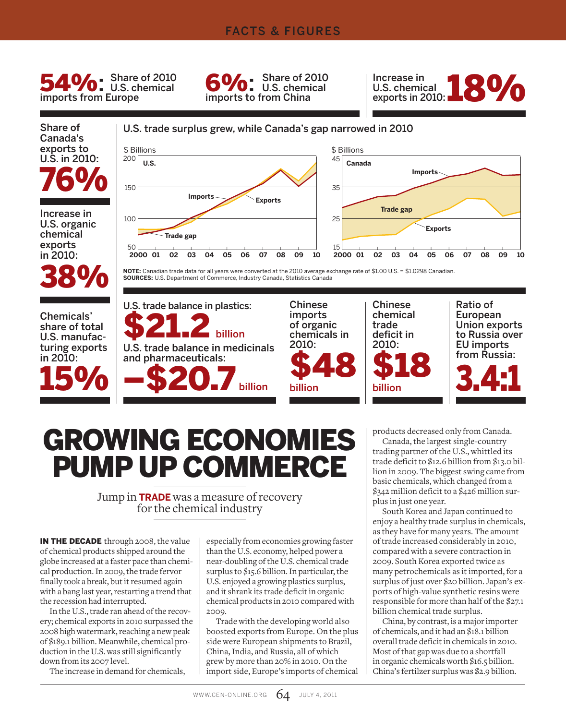#### FACTS & FIGURES

54%: Share of 2010 imports from Europe

 $S$  Share of 2010 **U.S. chemical** imports to from China



Share of Canada's exports to U.S. in 2010: 76%

Increase in U.S. organic chemical exports in 2010:







**NOTE:** Canadian trade data for all years were converted at the 2010 average exchange rate of \$1.00 U.S. = \$1.0298 Canadian. **SOURCES:** U.S. Department of Commerce, Industry Canada, Statistics Canada



# GROWING ECONOMIES PUMP UP COMMERCE

Jump in **TRADE** was a measure of recovery for the chemical industry

IN THE DECADE through 2008, the value of chemical products shipped around the globe increased at a faster pace than chemical production. In 2009, the trade fervor finally took a break, but it resumed again with a bang last year, restarting a trend that the recession had interrupted.

In the U.S., trade ran ahead of the recovery; chemical exports in 2010 surpassed the 2008 high watermark, reaching a new peak of \$189.1 billion. Meanwhile, chemical production in the U.S. was still significantly down from its 2007 level.

The increase in demand for chemicals,

especially from economies growing faster than the U.S. economy, helped power a near-doubling of the U.S. chemical trade surplus to \$15.6 billion. In particular, the U.S. enjoyed a growing plastics surplus, and it shrank its trade deficit in organic chemical products in 2010 compared with 2009.

Trade with the developing world also boosted exports from Europe. On the plus side were European shipments to Brazil, China, India, and Russia, all of which grew by more than 20% in 2010. On the import side, Europe's imports of chemical products decreased only from Canada.

Canada, the largest single-country trading partner of the U.S., whittled its trade deficit to \$12.6 billion from \$13.0 billion in 2009. The biggest swing came from basic chemicals, which changed from a \$342 million deficit to a \$426 million surplus in just one year.

South Korea and Japan continued to enjoy a healthy trade surplus in chemicals, as they have for many years. The amount of trade increased considerably in 2010, compared with a severe contraction in 2009. South Korea exported twice as many petrochemicals as it imported, for a surplus of just over \$20 billion. Japan's exports of high-value synthetic resins were responsible for more than half of the \$27.1 billion chemical trade surplus.

China, by contrast, is a major importer of chemicals, and it had an \$18.1 billion overall trade deficit in chemicals in 2010. Most of that gap was due to a shortfall in organic chemicals worth \$16.5 billion. China's fertilzer surplus was \$2.9 billion.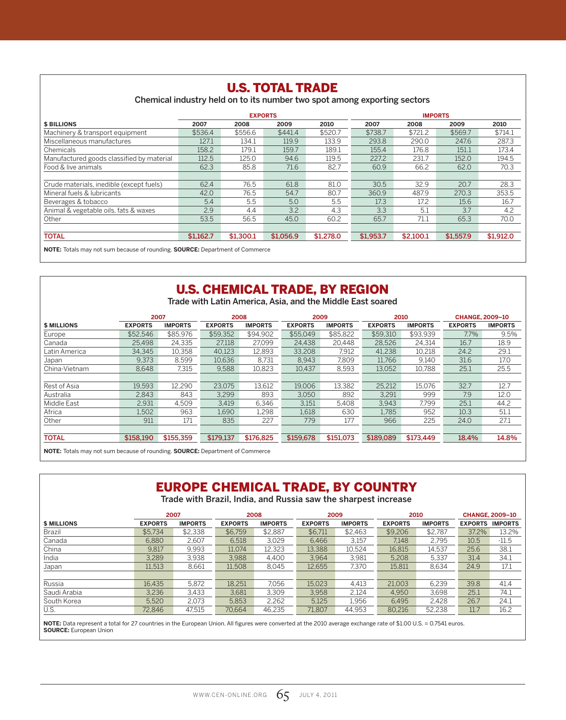#### U.S. TOTAL TRADE Chemical industry held on to its number two spot among exporting sectors **EXPORTS IMPORTS \$ BILLIONS 2007 2008 2009 2010 2007 2008 2009 2010** Machinery & transport equipment \$536.4 \$556.6 \$441.4 \$520.7 \$738.7 \$721.2 \$569.7 \$714.1 Miscellaneous manufactures 127.1 134.1 119.9 133.9 293.8 290.0 247.6 287.3 Chemicals 158.2 179.1 159.7 189.1 155.4 176.8 151.1 173.4 Manufactured goods classified by material 112.5 125.0 94.6 119.5 227.2 231.7 152.0 194.5<br>
Food & live animals 62.3 85.8 71.6 82.7 60.9 66.2 62.0 70.3 Food & live animals 62.3 62.3 85.8 Crude materials, inedible (except fuels) 62.4 76.5 61.8 81.0 30.5 32.9 20.7 28.3<br>Mineral fuels & lubricants 42.0 76.5 54.7 80.7 360.9 487.9 270.3 353.5 Mineral fuels & lubricants **42.0** 42.0 76.5 54.7 80.7 360.9 487.9 270.3 353.5 Beverages & tobacco 5.4 5.5 5.0 5.5 17.3 17.2 15.6 16.7 Animal & vegetable oils, fats & waxes 2.9 4.4 3.2 4.3 3.3 5.1 3.7 4.2<br>
Other 53.5 56.5 45.0 60.2 65.7 71.1 65.3 70.0 Other 53.5 56.5 45.0 60.2 65.7 71.1 65.3 70.0 TOTAL \$1,162.7 \$1,300.1 \$1,056.9 \$1,278.0 \$1,953.7 \$2,100.1 \$1,557.9 \$1,912.0

**NOTE:** Totals may not sum because of rounding. **SOURCE:** Department of Commerce

# U.S. CHEMICAL TRADE, BY REGION

Trade with Latin America, Asia, and the Middle East soared

|                    | 2007           |                | 2008           |                | 2009           |                |                | 2010           | <b>CHANGE, 2009-10</b> |                |  |
|--------------------|----------------|----------------|----------------|----------------|----------------|----------------|----------------|----------------|------------------------|----------------|--|
| <b>\$ MILLIONS</b> | <b>EXPORTS</b> | <b>IMPORTS</b> | <b>EXPORTS</b> | <b>IMPORTS</b> | <b>EXPORTS</b> | <b>IMPORTS</b> | <b>EXPORTS</b> | <b>IMPORTS</b> | <b>EXPORTS</b>         | <b>IMPORTS</b> |  |
| Europe             | \$52,546       | \$85.976       | \$59.352       | \$94.902       | \$55.049       | \$85,822       | \$59,310       | \$93,939       | 7.7%                   | 9.5%           |  |
| Canada             | 25.498         | 24,335         | 27.118         | 27,099         | 24,438         | 20.448         | 28.526         | 24,314         | 16.7                   | 18.9           |  |
| Latin America      | 34.345         | 10.358         | 40.123         | 12.893         | 33.208         | 7.912          | 41.238         | 10.218         | 24.2                   | 29.1           |  |
| Japan              | 9.373          | 8.599          | 10.636         | 8,731          | 8.943          | 7,809          | 11.766         | 9.140          | 31.6                   | 17.0           |  |
| China-Vietnam      | 8.648          | 7.315          | 9.588          | 10.823         | 10.437         | 8.593          | 13.052         | 10.788         | 25.1                   | 25.5           |  |
|                    |                |                |                |                |                |                |                |                |                        |                |  |
| Rest of Asia       | 19.593         | 12.290         | 23.075         | 13,612         | 19.006         | 13.382         | 25,212         | 15.076         | 32.7                   | 12.7           |  |
| Australia          | 2.843          | 843            | 3.299          | 893            | 3.050          | 892            | 3,291          | 999            | 7.9                    | 12.0           |  |
| Middle East        | 2,931          | 4.509          | 3.419          | 6.346          | 3.151          | 5.408          | 3.943          | 7.799          | 25.1                   | 44.2           |  |
| Africa             | 1.502          | 963            | 1.690          | 1.298          | 1,618          | 630            | 1.785          | 952            | 10.3                   | 51.1           |  |
| Other              | 911            | 171            | 835            | 227            | 779            | 177            | 966            | 225            | 24.0                   | 27.1           |  |
|                    |                |                |                |                |                |                |                |                |                        |                |  |
| <b>TOTAL</b>       | \$158,190      | \$155,359      | \$179.137      | \$176,825      | \$159,678      | \$151,073      | \$189,089      | \$173,449      | 18.4%                  | 14.8%          |  |

**NOTE:** Totals may not sum because of rounding. **SOURCE:** Department of Commerce

# EUROPE CHEMICAL TRADE, BY COUNTRY

Trade with Brazil, India, and Russia saw the sharpest increase

|                    | 2007           |                |                | 2008           |                | 2009           |                | 2010           | <b>CHANGE, 2009-10</b> |         |
|--------------------|----------------|----------------|----------------|----------------|----------------|----------------|----------------|----------------|------------------------|---------|
| <b>\$ MILLIONS</b> | <b>EXPORTS</b> | <b>IMPORTS</b> | <b>EXPORTS</b> | <b>IMPORTS</b> | <b>EXPORTS</b> | <b>IMPORTS</b> | <b>EXPORTS</b> | <b>IMPORTS</b> | <b>EXPORTS IMPORTS</b> |         |
| Brazil             | \$5.734        | \$2,338        | \$6,759        | \$2,887        | \$6.711        | \$2.463        | \$9,206        | \$2.787        | 37.2%                  | 13.2%   |
| Canada             | 6.880          | 2.607          | 6.518          | 3.029          | 6.466          | 3.157          | 7.148          | 2.795          | 10.5                   | $-11.5$ |
| China              | 9.817          | 9.993          | 11.074         | 12,323         | 13,388         | 10.524         | 16.815         | 14.537         | 25.6                   | 38.1    |
| India              | 3.289          | 3.938          | 3.988          | 4.400          | 3.964          | 3.981          | 5.208          | 5.337          | 31.4                   | 34.1    |
| Japan              | 11.513         | 8.661          | 11.508         | 8.045          | 12.655         | 7.370          | 15,811         | 8.634          | 24.9                   | 17.1    |
|                    |                |                |                |                |                |                |                |                |                        |         |
| Russia             | 16.435         | 5.872          | 18.251         | 7.056          | 15.023         | 4.413          | 21.003         | 6.239          | 39.8                   | 41.4    |
| Saudi Arabia       | 3.236          | 3.433          | 3.681          | 3.309          | 3.958          | 2.124          | 4.950          | 3.698          | 25.1                   | 74.1    |
| South Korea        | 5.520          | 2.073          | 5.853          | 2.262          | 5.125          | 1.956          | 6.495          | 2.428          | 26.7                   | 24.1    |
| U.S.               | 72.846         | 47,515         | 70.664         | 46,235         | 71.807         | 44,953         | 80,216         | 52,238         | 11.7                   | 16.2    |

**NOTE:** Data represent a total for 27 countries in the European Union. All figures were converted at the 2010 average exchange rate of \$1.00 U.S. = 0.7541 euros. **SOURCE:** European Union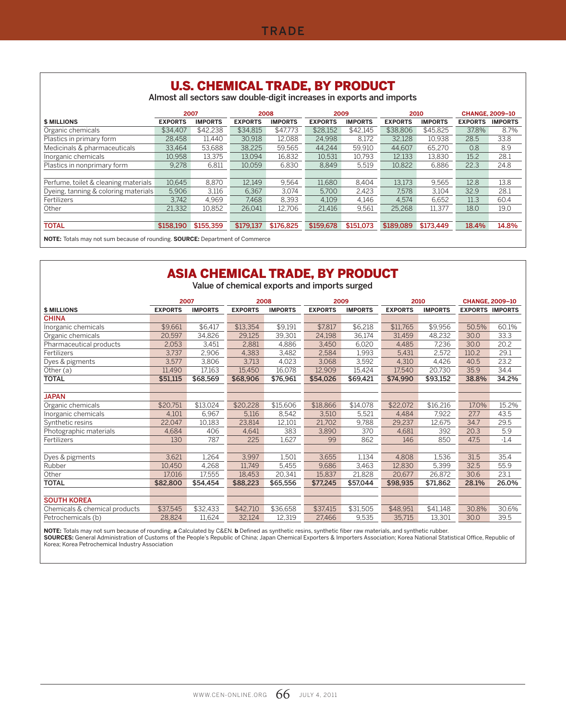|                                      |                | <b>U.S. CHEMICAL TRADE, BY PRODUCT</b><br>Almost all sectors saw double-digit increases in exports and imports |                |                |                |                |                |                |                        |                |
|--------------------------------------|----------------|----------------------------------------------------------------------------------------------------------------|----------------|----------------|----------------|----------------|----------------|----------------|------------------------|----------------|
|                                      |                | 2007                                                                                                           |                | 2008           | 2009           |                |                | 2010           | <b>CHANGE, 2009-10</b> |                |
| <b>\$ MILLIONS</b>                   | <b>EXPORTS</b> | <b>IMPORTS</b>                                                                                                 | <b>EXPORTS</b> | <b>IMPORTS</b> | <b>EXPORTS</b> | <b>IMPORTS</b> | <b>EXPORTS</b> | <b>IMPORTS</b> | <b>EXPORTS</b>         | <b>IMPORTS</b> |
| Organic chemicals                    | \$34.407       | \$42,238                                                                                                       | \$34.815       | \$47.773       | \$28,152       | \$42.145       | \$38,806       | \$45,825       | 37.8%                  | 8.7%           |
| Plastics in primary form             | 28.458         | 11.440                                                                                                         | 30,918         | 12.088         | 24.998         | 8,172          | 32,128         | 10.938         | 28.5                   | 33.8           |
| Medicinals & pharmaceuticals         | 33.464         | 53.688                                                                                                         | 38.225         | 59.565         | 44.244         | 59.910         | 44.607         | 65,270         | 0.8                    | 8.9            |
| Inorganic chemicals                  | 10.958         | 13.375                                                                                                         | 13.094         | 16.832         | 10.531         | 10.793         | 12.133         | 13.830         | 15.2                   | 28.1           |
| Plastics in nonprimary form          | 9.278          | 6.811                                                                                                          | 10.059         | 6.830          | 8.849          | 5,519          | 10.822         | 6.886          | 22.3                   | 24.8           |
|                                      |                |                                                                                                                |                |                |                |                |                |                |                        |                |
| Perfume, toilet & cleaning materials | 10.645         | 8.870                                                                                                          | 12.149         | 9.564          | 11.680         | 8.404          | 13.173         | 9.565          | 12.8                   | 13.8           |
| Dyeing, tanning & coloring materials | 5,906          | 3.116                                                                                                          | 6.367          | 3.074          | 5.700          | 2.423          | 7.578          | 3.104          | 32.9                   | 28.1           |
| Fertilizers                          | 3.742          | 4.969                                                                                                          | 7.468          | 8.393          | 4,109          | 4.146          | 4.574          | 6.652          | 11.3                   | 60.4           |
| Other                                | 21.332         | 10.852                                                                                                         | 26.041         | 12.706         | 21,416         | 9.561          | 25.268         | 11.377         | 18.0                   | 19.0           |
|                                      |                |                                                                                                                |                |                |                |                |                |                |                        |                |
| <b>TOTAL</b>                         | \$158,190      | \$155,359                                                                                                      | \$179.137      | \$176,825      | \$159,678      | \$151,073      | \$189,089      | \$173,449      | 18.4%                  | 14.8%          |

**NOTE:** Totals may not sum because of rounding. **SOURCE:** Department of Commerce

# ASIA CHEMICAL TRADE, BY PRODUCT

Value of chemical exports and imports surged

|                               | 2007           |                | 2008           |                | 2009           |                | 2010           |                | <b>CHANGE, 2009-10</b> |        |  |
|-------------------------------|----------------|----------------|----------------|----------------|----------------|----------------|----------------|----------------|------------------------|--------|--|
| <b>\$ MILLIONS</b>            | <b>EXPORTS</b> | <b>IMPORTS</b> | <b>EXPORTS</b> | <b>IMPORTS</b> | <b>EXPORTS</b> | <b>IMPORTS</b> | <b>EXPORTS</b> | <b>IMPORTS</b> | <b>EXPORTS IMPORTS</b> |        |  |
| <b>CHINA</b>                  |                |                |                |                |                |                |                |                |                        |        |  |
| Inorganic chemicals           | \$9,661        | \$6,417        | \$13,354       | \$9,191        | \$7,817        | \$6,218        | \$11,765       | \$9,956        | 50.5%                  | 60.1%  |  |
| Organic chemicals             | 20,597         | 34,826         | 29,125         | 39,301         | 24,198         | 36,174         | 31,459         | 48,232         | 30.0                   | 33.3   |  |
| Pharmaceutical products       | 2,053          | 3,451          | 2,881          | 4,886          | 3,450          | 6,020          | 4,485          | 7,236          | 30.0                   | 20.2   |  |
| Fertilizers                   | 3.737          | 2,906          | 4,383          | 3,482          | 2,584          | 1,993          | 5,431          | 2,572          | 110.2                  | 29.1   |  |
| Dyes & pigments               | 3,577          | 3,806          | 3,713          | 4,023          | 3,068          | 3,592          | 4,310          | 4,426          | 40.5                   | 23.2   |  |
| Other (a)                     | 11.490         | 17,163         | 15,450         | 16,078         | 12,909         | 15,424         | 17,540         | 20,730         | 35.9                   | 34.4   |  |
| <b>TOTAL</b>                  | \$51,115       | \$68,569       | \$68,906       | \$76,961       | \$54,026       | \$69,421       | \$74.990       | \$93,152       | 38.8%                  | 34.2%  |  |
|                               |                |                |                |                |                |                |                |                |                        |        |  |
| <b>JAPAN</b>                  |                |                |                |                |                |                |                |                |                        |        |  |
| Organic chemicals             | \$20,751       | \$13,024       | \$20,228       | \$15,606       | \$18,866       | \$14,078       | \$22,072       | \$16,216       | 17.0%                  | 15.2%  |  |
| Inorganic chemicals           | 4,101          | 6,967          | 5,116          | 8,542          | 3,510          | 5,521          | 4,484          | 7,922          | 27.7                   | 43.5   |  |
| Synthetic resins              | 22,047         | 10,183         | 23,814         | 12,101         | 21,702         | 9,788          | 29,237         | 12,675         | 34.7                   | 29.5   |  |
| Photographic materials        | 4,684          | 406            | 4.641          | 383            | 3,890          | 370            | 4.681          | 392            | 20.3                   | 5.9    |  |
| Fertilizers                   | 130            | 787            | 225            | 1,627          | 99             | 862            | 146            | 850            | 47.5                   | $-1.4$ |  |
|                               |                |                |                |                |                |                |                |                |                        |        |  |
| Dyes & pigments               | 3,621          | 1,264          | 3,997          | 1,501          | 3,655          | 1,134          | 4,808          | 1,536          | 31.5                   | 35.4   |  |
| Rubber                        | 10,450         | 4,268          | 11,749         | 5,455          | 9,686          | 3,463          | 12,830         | 5,399          | 32.5                   | 55.9   |  |
| Other                         | 17.016         | 17,555         | 18,453         | 20,341         | 15,837         | 21,828         | 20.677         | 26.872         | 30.6                   | 23.1   |  |
| <b>TOTAL</b>                  | \$82,800       | \$54,454       | \$88,223       | \$65,556       | \$77,245       | \$57,044       | \$98,935       | \$71,862       | 28.1%                  | 26.0%  |  |
|                               |                |                |                |                |                |                |                |                |                        |        |  |
| <b>SOUTH KOREA</b>            |                |                |                |                |                |                |                |                |                        |        |  |
| Chemicals & chemical products | \$37,545       | \$32,433       | \$42,710       | \$36,658       | \$37,415       | \$31,505       | \$48,951       | \$41,148       | 30.8%                  | 30.6%  |  |
| Petrochemicals (b)            | 28,824         | 11,624         | 32,124         | 12,319         | 27,466         | 9,535          | 35,715         | 13,301         | 30.0                   | 39.5   |  |

**NOTE:** Totals may not sum because of rounding. **a** Calculated by C&EN. **b** Defined as synthetic resins, synthetic fiber raw materials, and synthetic rubber.<br>**SOURCES:** General Administration of Customs of the People's Rep